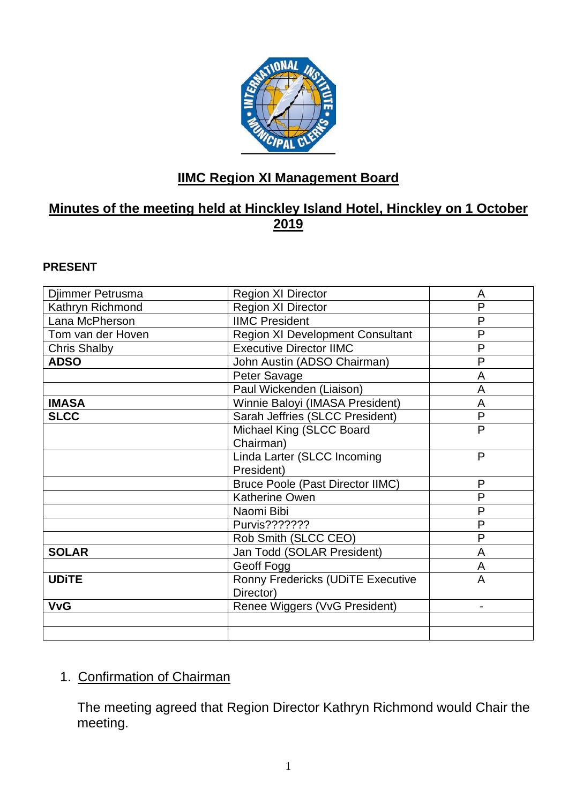

# **IIMC Region XI Management Board**

## **Minutes of the meeting held at Hinckley Island Hotel, Hinckley on 1 October 2019**

#### **PRESENT**

| Djimmer Petrusma    | <b>Region XI Director</b>               | A            |
|---------------------|-----------------------------------------|--------------|
| Kathryn Richmond    | <b>Region XI Director</b>               | P            |
| Lana McPherson      | <b>IIMC President</b>                   | P            |
| Tom van der Hoven   | <b>Region XI Development Consultant</b> | P            |
| <b>Chris Shalby</b> | <b>Executive Director IIMC</b>          | P            |
| <b>ADSO</b>         | John Austin (ADSO Chairman)             | P            |
|                     | Peter Savage                            | A            |
|                     | Paul Wickenden (Liaison)                | A            |
| <b>IMASA</b>        | Winnie Baloyi (IMASA President)         | A            |
| <b>SLCC</b>         | Sarah Jeffries (SLCC President)         | P            |
|                     | Michael King (SLCC Board                | $\mathsf{P}$ |
|                     | Chairman)                               |              |
|                     | Linda Larter (SLCC Incoming             | P            |
|                     | President)                              |              |
|                     | <b>Bruce Poole (Past Director IIMC)</b> | P            |
|                     | <b>Katherine Owen</b>                   | P            |
|                     | Naomi Bibi                              | $\mathsf{P}$ |
|                     | Purvis???????                           | P            |
|                     | Rob Smith (SLCC CEO)                    | P            |
| <b>SOLAR</b>        | Jan Todd (SOLAR President)              | A            |
|                     | Geoff Fogg                              | A            |
| <b>UDITE</b>        | Ronny Fredericks (UDITE Executive       | A            |
|                     | Director)                               |              |
| <b>VvG</b>          | Renee Wiggers (VvG President)           |              |
|                     |                                         |              |
|                     |                                         |              |

## 1. Confirmation of Chairman

The meeting agreed that Region Director Kathryn Richmond would Chair the meeting.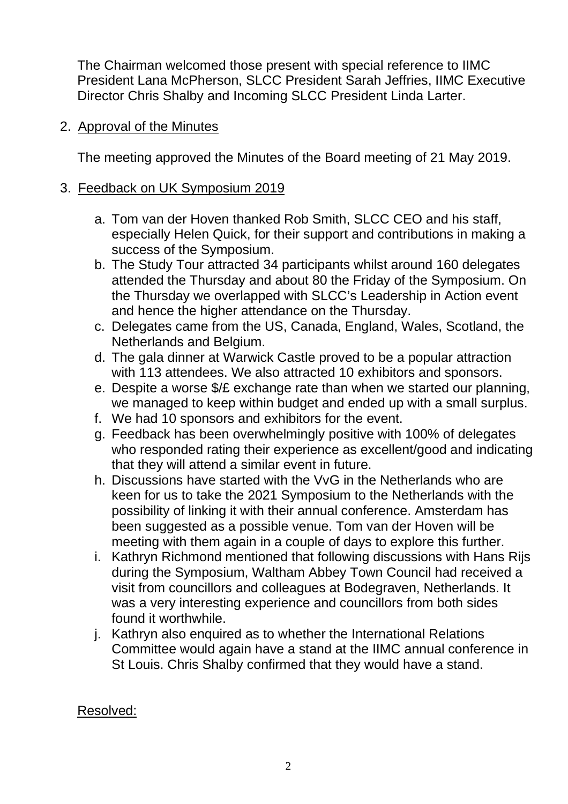The Chairman welcomed those present with special reference to IIMC President Lana McPherson, SLCC President Sarah Jeffries, IIMC Executive Director Chris Shalby and Incoming SLCC President Linda Larter.

## 2. Approval of the Minutes

The meeting approved the Minutes of the Board meeting of 21 May 2019.

### 3. Feedback on UK Symposium 2019

- a. Tom van der Hoven thanked Rob Smith, SLCC CEO and his staff, especially Helen Quick, for their support and contributions in making a success of the Symposium.
- b. The Study Tour attracted 34 participants whilst around 160 delegates attended the Thursday and about 80 the Friday of the Symposium. On the Thursday we overlapped with SLCC's Leadership in Action event and hence the higher attendance on the Thursday.
- c. Delegates came from the US, Canada, England, Wales, Scotland, the Netherlands and Belgium.
- d. The gala dinner at Warwick Castle proved to be a popular attraction with 113 attendees. We also attracted 10 exhibitors and sponsors.
- e. Despite a worse \$/£ exchange rate than when we started our planning, we managed to keep within budget and ended up with a small surplus.
- f. We had 10 sponsors and exhibitors for the event.
- g. Feedback has been overwhelmingly positive with 100% of delegates who responded rating their experience as excellent/good and indicating that they will attend a similar event in future.
- h. Discussions have started with the VvG in the Netherlands who are keen for us to take the 2021 Symposium to the Netherlands with the possibility of linking it with their annual conference. Amsterdam has been suggested as a possible venue. Tom van der Hoven will be meeting with them again in a couple of days to explore this further.
- i. Kathryn Richmond mentioned that following discussions with Hans Rijs during the Symposium, Waltham Abbey Town Council had received a visit from councillors and colleagues at Bodegraven, Netherlands. It was a very interesting experience and councillors from both sides found it worthwhile.
- j. Kathryn also enquired as to whether the International Relations Committee would again have a stand at the IIMC annual conference in St Louis. Chris Shalby confirmed that they would have a stand.

### Resolved: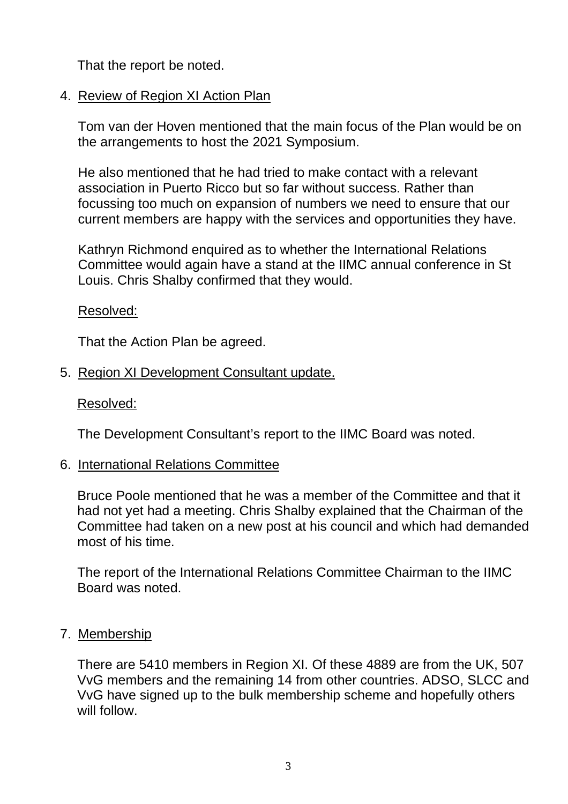That the report be noted.

## 4. Review of Region XI Action Plan

Tom van der Hoven mentioned that the main focus of the Plan would be on the arrangements to host the 2021 Symposium.

He also mentioned that he had tried to make contact with a relevant association in Puerto Ricco but so far without success. Rather than focussing too much on expansion of numbers we need to ensure that our current members are happy with the services and opportunities they have.

Kathryn Richmond enquired as to whether the International Relations Committee would again have a stand at the IIMC annual conference in St Louis. Chris Shalby confirmed that they would.

### Resolved:

That the Action Plan be agreed.

5. Region XI Development Consultant update.

### Resolved:

The Development Consultant's report to the IIMC Board was noted.

6. International Relations Committee

Bruce Poole mentioned that he was a member of the Committee and that it had not yet had a meeting. Chris Shalby explained that the Chairman of the Committee had taken on a new post at his council and which had demanded most of his time.

The report of the International Relations Committee Chairman to the IIMC Board was noted.

7. Membership

There are 5410 members in Region XI. Of these 4889 are from the UK, 507 VvG members and the remaining 14 from other countries. ADSO, SLCC and VvG have signed up to the bulk membership scheme and hopefully others will follow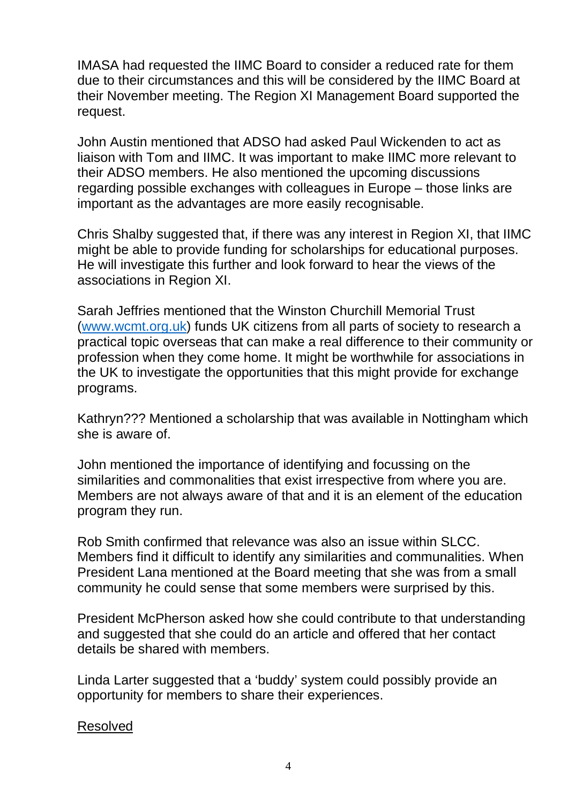IMASA had requested the IIMC Board to consider a reduced rate for them due to their circumstances and this will be considered by the IIMC Board at their November meeting. The Region XI Management Board supported the request.

John Austin mentioned that ADSO had asked Paul Wickenden to act as liaison with Tom and IIMC. It was important to make IIMC more relevant to their ADSO members. He also mentioned the upcoming discussions regarding possible exchanges with colleagues in Europe – those links are important as the advantages are more easily recognisable.

Chris Shalby suggested that, if there was any interest in Region XI, that IIMC might be able to provide funding for scholarships for educational purposes. He will investigate this further and look forward to hear the views of the associations in Region XI.

Sarah Jeffries mentioned that the Winston Churchill Memorial Trust [\(www.wcmt.org.uk\)](http://www.wcmt.org.uk/) funds UK citizens from all parts of society to research a practical topic overseas that can make a real difference to their community or profession when they come home. It might be worthwhile for associations in the UK to investigate the opportunities that this might provide for exchange programs.

Kathryn??? Mentioned a scholarship that was available in Nottingham which she is aware of.

John mentioned the importance of identifying and focussing on the similarities and commonalities that exist irrespective from where you are. Members are not always aware of that and it is an element of the education program they run.

Rob Smith confirmed that relevance was also an issue within SLCC. Members find it difficult to identify any similarities and communalities. When President Lana mentioned at the Board meeting that she was from a small community he could sense that some members were surprised by this.

President McPherson asked how she could contribute to that understanding and suggested that she could do an article and offered that her contact details be shared with members.

Linda Larter suggested that a 'buddy' system could possibly provide an opportunity for members to share their experiences.

### Resolved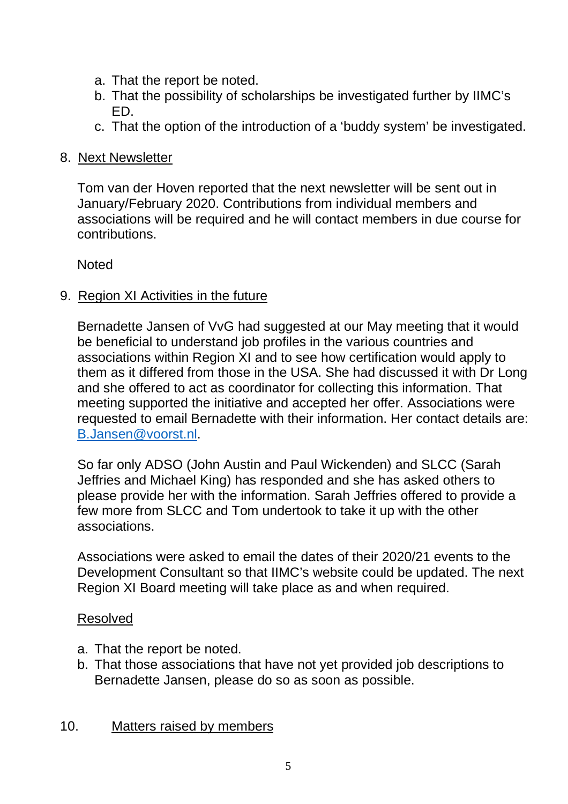- a. That the report be noted.
- b. That the possibility of scholarships be investigated further by IIMC's ED.
- c. That the option of the introduction of a 'buddy system' be investigated.

## 8. Next Newsletter

Tom van der Hoven reported that the next newsletter will be sent out in January/February 2020. Contributions from individual members and associations will be required and he will contact members in due course for contributions.

Noted

## 9. Region XI Activities in the future

Bernadette Jansen of VvG had suggested at our May meeting that it would be beneficial to understand job profiles in the various countries and associations within Region XI and to see how certification would apply to them as it differed from those in the USA. She had discussed it with Dr Long and she offered to act as coordinator for collecting this information. That meeting supported the initiative and accepted her offer. Associations were requested to email Bernadette with their information. Her contact details are: [B.Jansen@voorst.nl.](mailto:B.Jansen@voorst.nl)

So far only ADSO (John Austin and Paul Wickenden) and SLCC (Sarah Jeffries and Michael King) has responded and she has asked others to please provide her with the information. Sarah Jeffries offered to provide a few more from SLCC and Tom undertook to take it up with the other associations.

Associations were asked to email the dates of their 2020/21 events to the Development Consultant so that IIMC's website could be updated. The next Region XI Board meeting will take place as and when required.

## Resolved

- a. That the report be noted.
- b. That those associations that have not yet provided job descriptions to Bernadette Jansen, please do so as soon as possible.

## 10. Matters raised by members